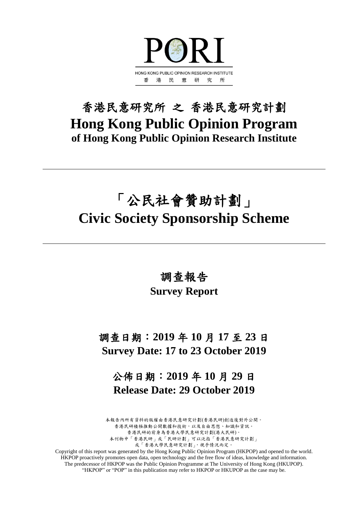

## 香港民意研究所 之 香港民意研究計劃 **Hong Kong Public Opinion Program of Hong Kong Public Opinion Research Institute**

# 「公民社會贊助計劃」 **Civic Society Sponsorship Scheme**

調查報告

## **Survey Report**

調查日期:**2019** 年 **10** 月 **17** 至 **23** 日 **Survey Date: 17 to 23 October 2019**

公佈日期:**2019** 年 **10** 月 **29** 日 **Release Date: 29 October 2019**

本報告內所有資料的版權由香港民意研究計劃(香港民研)創造後對外公開。 香港民研積極推動公開數據和技術,以及自由思想、知識和資訊。 香港民研的前身為香港大學民意研究計劃(港大民研)。 本刊物中「香港民研」或「民研計劃」可以泛指「香港民意研究計劃」 或「香港大學民意研究計劃」,視乎情況而定。

Copyright of this report was generated by the Hong Kong Public Opinion Program (HKPOP) and opened to the world. HKPOP proactively promotes open data, open technology and the free flow of ideas, knowledge and information. The predecessor of HKPOP was the Public Opinion Programme at The University of Hong Kong (HKUPOP). "HKPOP" or "POP" in this publication may refer to HKPOP or HKUPOP as the case may be.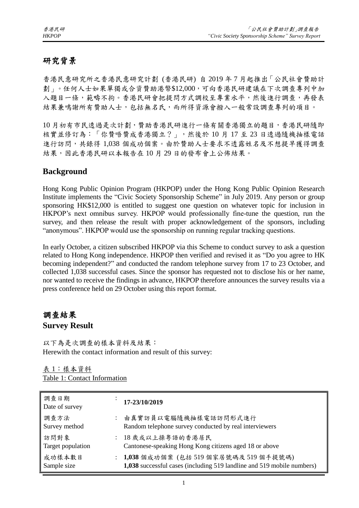## 研究背景

香港民意研究所之香港民意研究計劃 (香港民研) 自 2019 年 7 月起推出「公民社會贊助計 劃」。任何人士如果單獨或合資贊助港幣\$12,000,可向香港民研建議在下次調查專列中加 入題目一條,範疇不拘。香港民研會把提問方式調校至專業水平,然後進行調查,再發表 結果兼鳴謝所有贊助人士,包括無名氏,而所得資源會撥入一般常設調查專列的項目。

10 月初有市民透過是次計劃,贊助香港民研進行一條有關香港獨立的題目,香港民研隨即 核實並修訂為:「你贊唔贊成香港獨立?」,然後於 10 月 17 至 23 日透過隨機抽樣電話 進行訪問,共錄得 1,038 個成功個案。由於贊助人士要求不透露姓名及不想提早獲得調查 結果,因此香港民研以本報告在10月29日的發布會上公佈結果。

#### **Background**

Hong Kong Public Opinion Program (HKPOP) under the Hong Kong Public Opinion Research Institute implements the "Civic Society Sponsorship Scheme" in July 2019. Any person or group sponsoring HK\$12,000 is entitled to suggest one question on whatever topic for inclusion in HKPOP's next omnibus survey. HKPOP would professionally fine-tune the question, run the survey, and then release the result with proper acknowledgement of the sponsors, including "anonymous". HKPOP would use the sponsorship on running regular tracking questions.

In early October, a citizen subscribed HKPOP via this Scheme to conduct survey to ask a question related to Hong Kong independence. HKPOP then verified and revised it as "Do you agree to HK becoming independent?" and conducted the random telephone survey from 17 to 23 October, and collected 1,038 successful cases. Since the sponsor has requested not to disclose his or her name, nor wanted to receive the findings in advance, HKPOP therefore announces the survey results via a press conference held on 29 October using this report format.

## 調查結果 **Survey Result**

以下為是次調查的樣本資料及結果: Herewith the contact information and result of this survey:

| 表 1:樣本資料                     |  |
|------------------------------|--|
| Table 1: Contact Information |  |

| 調查日期<br>Date of survey    | 17-23/10/2019                                                                                                     |
|---------------------------|-------------------------------------------------------------------------------------------------------------------|
| 調查方法<br>Survey method     | : 由真實訪員以電腦隨機抽樣電話訪問形式進行<br>Random telephone survey conducted by real interviewers                                  |
| 訪問對象<br>Target population | : 18 歲或以上操粵語的香港居民<br>Cantonese-speaking Hong Kong citizens aged 18 or above                                       |
| 成功樣本數目<br>Sample size     | : 1,038 個成功個案 (包括 519 個家居號碼及 519 個手提號碼)<br>1,038 successful cases (including 519 landline and 519 mobile numbers) |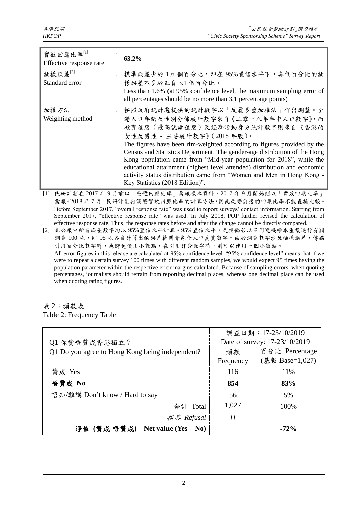| 實效回應比率[1]<br>Effective response rate | 63.2%                                                                                                                                                                                                                                                                                                                                                                                                                                                                                                                                                    |
|--------------------------------------|----------------------------------------------------------------------------------------------------------------------------------------------------------------------------------------------------------------------------------------------------------------------------------------------------------------------------------------------------------------------------------------------------------------------------------------------------------------------------------------------------------------------------------------------------------|
| 抽樣誤差 $[2]$<br>Standard error         | : 標準誤差少於 1.6 個百分比,即在 95%置信水平下,各個百分比的抽<br>樣誤差不多於正負3.1個百分比。<br>Less than 1.6% (at 95% confidence level, the maximum sampling error of<br>all percentages should be no more than 3.1 percentage points)                                                                                                                                                                                                                                                                                                                                                     |
| 加權方法<br>Weighting method             | : 按照政府統計處提供的統計數字以「反覆多重加權法」作出調整。全<br>港人口年齡及性別分佈統計數字來自《二零一八年年中人口數字》,而<br>教育程度(最高就讀程度)及經濟活動身分統計數字則來自《香港的<br>女性及男性 - 主要統計數字》(2018年版)。<br>The figures have been rim-weighted according to figures provided by the<br>Census and Statistics Department. The gender-age distribution of the Hong<br>Kong population came from "Mid-year population for 2018", while the<br>educational attainment (highest level attended) distribution and economic<br>activity status distribution came from "Women and Men in Hong Kong -<br>Key Statistics (2018 Edition)". |
|                                      | [1] 民研計劃在2017年9月前以「整體回應比率」彙報樣本資料,2017年9月開始則以「實效回應比率」                                                                                                                                                                                                                                                                                                                                                                                                                                                                                                     |

彙報。2018年7月,民研計劃再調整實效回應比率的計算方法,因此改變前後的回應比率不能直接比較。 Before September 2017, "overall response rate" was used to report surveys' contact information. Starting from September 2017, "effective response rate" was used. In July 2018, POP further revised the calculation of effective response rate. Thus, the response rates before and after the change cannot be directly compared.

[2] 此公報中所有誤差數字均以 95%置信水平計算。95%置信水平,是指倘若以不同隨機樣本重複進行有關 調查 100 次,則 95 次各自計算出的誤差範圍會包含人口真實數字。由於調查數字涉及抽樣誤差,傳媒 引用百分比數字時,應避免使用小數點,在引用評分數字時,則可以使用一個小數點。 All error figures in this release are calculated at 95% confidence level. "95% confidence level" means that if we were to repeat a certain survey 100 times with different random samples, we would expect 95 times having the population parameter within the respective error margins calculated. Because of sampling errors, when quoting percentages, journalists should refrain from reporting decimal places, whereas one decimal place can be used when quoting rating figures.

#### 表 2:頻數表 Table 2: Frequency Table

|                                                 | 調查日期: 17-23/10/2019 |                               |  |
|-------------------------------------------------|---------------------|-------------------------------|--|
| Q1 你贊唔贊成香港獨立?                                   |                     | Date of survey: 17-23/10/2019 |  |
| Q1 Do you agree to Hong Kong being independent? | 頻數                  | 百分比 Percentage                |  |
|                                                 | Frequency           | (基數 Base=1,027)               |  |
| 贊成 Yes                                          | 116                 | 11\%                          |  |
| 唔贊成 No                                          | 854                 | 83%                           |  |
| 唔知/難講 Don't know / Hard to say                  | 56                  | 5%                            |  |
| 合計 Total                                        | 1,027               | 100%                          |  |
| 拒答 Refusal                                      | 11                  |                               |  |
| Net value $(Yes - No)$<br>淨值(贊成-唔贊成)            |                     | $-72%$                        |  |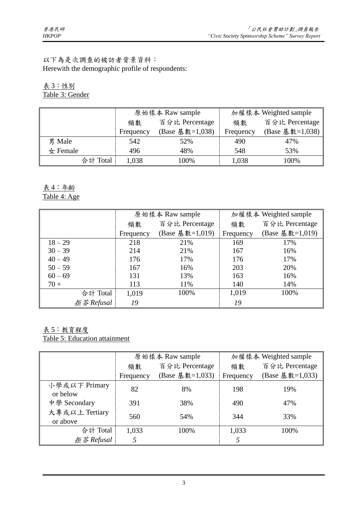#### 以下為是次調查的被訪者背景資料: Herewith the demographic profile of respondents:

#### 表 3:性別 Table 3: Gender

|                   |           | 原始樣本 Raw sample |           | 加權樣本 Weighted sample |
|-------------------|-----------|-----------------|-----------|----------------------|
|                   | 頻數        | 百分比 Percentage  | 頻數        | 百分比 Percentage       |
|                   | Frequency | (Base 基數=1,038) | Frequency | (Base 基數=1,038)      |
| 男 Male            | 542       | 52%             | 490       | 47%                  |
| $\bigstar$ Female | 496       | 48%             | 548       | 53%                  |
| 合計 Total          | 1,038     | 100%            | 1,038     | 100%                 |

#### 表 4:年齡 Table 4: Age

|            |           | 原始樣本 Raw sample | 加權樣本 Weighted sample |                 |  |
|------------|-----------|-----------------|----------------------|-----------------|--|
|            | 頻數        | 百分比 Percentage  | 頻數                   | 百分比 Percentage  |  |
|            | Frequency | (Base 基數=1,019) | Frequency            | (Base 基數=1,019) |  |
| $18 - 29$  | 218       | 21%             | 169                  | 17%             |  |
| $30 - 39$  | 214       | 21%             | 167                  | 16%             |  |
| $40 - 49$  | 176       | 17%             | 176                  | 17%             |  |
| $50 - 59$  | 167       | 16%             | 203                  | 20%             |  |
| $60 - 69$  | 131       | 13%             | 163                  | 16%             |  |
| $70 +$     | 113       | 11%             | 140                  | 14%             |  |
| 合計 Total   | 1,019     | 100%            | 1,019                | 100%            |  |
| 拒答 Refusal | 19        |                 | 19                   |                 |  |

## 表 5:教育程度

Table 5: Education attainment

|                            |           | 原始樣本 Raw sample | 加權樣本 Weighted sample |                 |  |
|----------------------------|-----------|-----------------|----------------------|-----------------|--|
|                            | 頻數        | 百分比 Percentage  | 頻數                   | 百分比 Percentage  |  |
|                            | Frequency | (Base 基數=1,033) | Frequency            | (Base 基數=1,033) |  |
| 小學或以下 Primary<br>or below  | 82        | 8%              | 198                  | 19%             |  |
| 中學 Secondary               | 391       | 38%             | 490                  | 47%             |  |
| 大專或以上 Tertiary<br>or above | 560       | 54%             | 344                  | 33%             |  |
| 合計 Total                   | 1,033     | 100%            | 1,033                | 100%            |  |
| $E \cancel{\&}$ Refusal    |           |                 | 5                    |                 |  |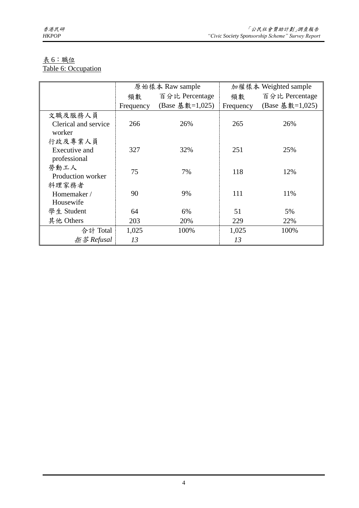#### 表 6:職位 Table 6: Occupation

|                      |           | 原始樣本 Raw sample | 加權樣本 Weighted sample |                 |  |
|----------------------|-----------|-----------------|----------------------|-----------------|--|
|                      | 頻數        | 百分比 Percentage  | 頻數                   | 百分比 Percentage  |  |
|                      | Frequency | (Base 基數=1,025) | Frequency            | (Base 基數=1,025) |  |
| 文職及服務人員              |           |                 |                      |                 |  |
| Clerical and service | 266       | 26%             | 265                  | 26%             |  |
| worker               |           |                 |                      |                 |  |
| 行政及專業人員              |           |                 |                      |                 |  |
| Executive and        | 327       | 32%             | 251                  | 25%             |  |
| professional         |           |                 |                      |                 |  |
| 勞動工人                 | 75        | 7%              | 118                  | 12%             |  |
| Production worker    |           |                 |                      |                 |  |
| 料理家務者                |           |                 |                      |                 |  |
| Homemaker /          | 90        | 9%              | 111                  | 11%             |  |
| Housewife            |           |                 |                      |                 |  |
| 學生 Student           | 64        | 6%              | 51                   | 5%              |  |
| 其他 Others            | 203       | 20%             | 229                  | 22%             |  |
| 合計 Total             | 1,025     | 100%            | 1,025                | 100%            |  |
| <i>拒答 Refusal</i>    | 13        |                 | 13                   |                 |  |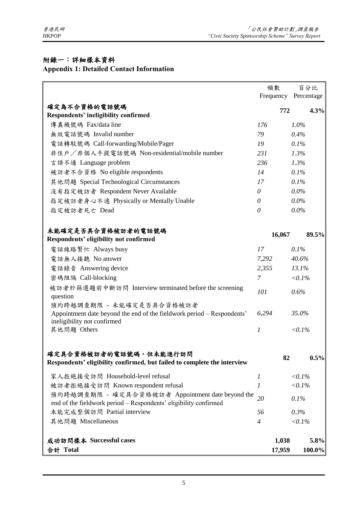## 附錄一:詳細樣本資料

## **Appendix 1: Detailed Contact Information**

|                                                                                                                      | 頻數                   |           | 百分比            |
|----------------------------------------------------------------------------------------------------------------------|----------------------|-----------|----------------|
|                                                                                                                      | Frequency Percentage |           |                |
| 確定為不合資格的電話號碼                                                                                                         |                      | 772       | 4.3%           |
| <b>Respondents' ineligibility confirmed</b>                                                                          |                      |           |                |
| 傳真機號碼 Fax/data line                                                                                                  | 176                  | $1.0\%$   |                |
| 無效電話號碼 Invalid number                                                                                                | 79                   | 0.4%      |                |
| 電話轉駁號碼 Call-forwarding/Mobile/Pager                                                                                  | 19                   | 0.1%      |                |
| 非住户/非個人手提電話號碼 Non-residential/mobile number                                                                          | 231                  | 1.3%      |                |
| 言語不通 Language problem                                                                                                | 236                  | 1.3%      |                |
| 被訪者不合資格 No eligible respondents                                                                                      | 14                   | 0.1%      |                |
| 其他問題 Special Technological Circumstances                                                                             | 17                   | 0.1%      |                |
| 沒有指定被訪者 Respondent Never Available                                                                                   | $\theta$             | $0.0\%$   |                |
| 指定被訪者身心不適 Physically or Mentally Unable                                                                              | 0                    | $0.0\%$   |                |
| 指定被訪者死亡 Dead                                                                                                         | 0                    | $0.0\%$   |                |
| 未能確定是否具合資格被訪者的電話號碼                                                                                                   | 16,067               |           | 89.5%          |
| Respondents' eligibility not confirmed                                                                               |                      |           |                |
| 電話線路繁忙 Always busy                                                                                                   | 17                   | 0.1%      |                |
| 電話無人接聽 No answer                                                                                                     | 7,292                | 40.6%     |                |
| 電話錄音 Answering device                                                                                                | 2,355                | 13.1%     |                |
| 密碼阻隔 Call-blocking                                                                                                   | $\overline{7}$       | $< 0.1\%$ |                |
| 被訪者於篩選題前中斷訪問 Interview terminated before the screening<br>question                                                   | 101                  | 0.6%      |                |
| 預約跨越調查期限 - 未能確定是否具合資格被訪者                                                                                             |                      |           |                |
| Appointment date beyond the end of the fieldwork period – Respondents'<br>ineligibility not confirmed                | 6,294                | 35.0%     |                |
| 其他問題 Others                                                                                                          | 1                    | $< 0.1\%$ |                |
| 確定具合資格被訪者的電話號碼,但未能進行訪問                                                                                               |                      | 82        | 0.5%           |
| Respondents' eligibility confirmed, but failed to complete the interview                                             |                      |           |                |
| 家人拒絕接受訪問 Household-level refusal                                                                                     | $\mathcal{I}$        | $< 0.1\%$ |                |
| 被訪者拒絕接受訪問 Known respondent refusal                                                                                   | 1                    | $< 0.1\%$ |                |
| 預約跨越調查期限 - 確定具合資格被訪者 Appointment date beyond the<br>end of the fieldwork period – Respondents' eligibility confirmed | 20                   | 0.1%      |                |
| 未能完成整個訪問 Partial interview                                                                                           | 56                   | 0.3%      |                |
| 其他問題 Miscellaneous                                                                                                   | $\overline{4}$       | $< 0.1\%$ |                |
| 成功訪問樣本 Successful cases<br>合計 Total                                                                                  | 1,038<br>17,959      |           | 5.8%<br>100.0% |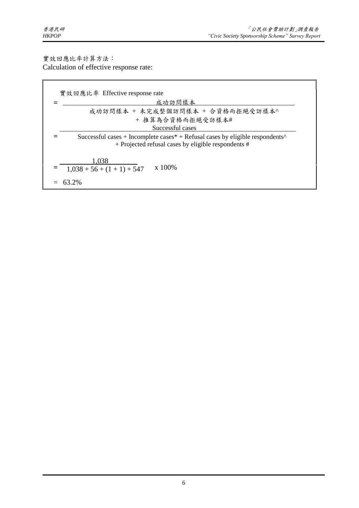實效回應比率計算方法: Calculation of effective response rate:

| 實效回應比率 Effective response rate                                                                                                                                        |
|-----------------------------------------------------------------------------------------------------------------------------------------------------------------------|
| 成功訪問樣本                                                                                                                                                                |
| 成功訪問樣本 + 未完成整個訪問樣本 + 合資格而拒絕受訪樣本^                                                                                                                                      |
| + 推算為合資格而拒絕受訪樣本#                                                                                                                                                      |
| Successful cases                                                                                                                                                      |
| Successful cases + Incomplete cases $*$ + Refusal cases by eligible respondents <sup><math>\wedge</math></sup><br>+ Projected refusal cases by eligible respondents # |
| 1,038<br>$x\ 100\%$<br>$1,038 + 56 + (1 + 1) + 547$                                                                                                                   |
| 63 2%                                                                                                                                                                 |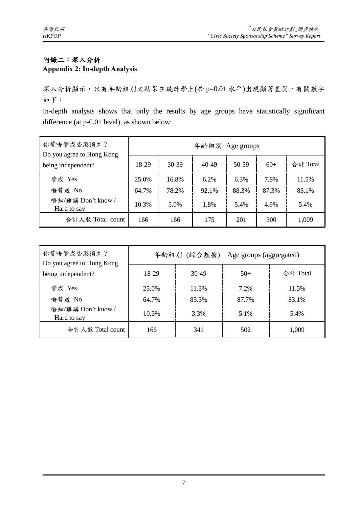#### 附錄二:深入分析 **Appendix 2: In-depth Analysis**

深入分析顯示,只有年齡組別之結果在統計學上(於 p=0.01 水平)出現顯著差異,有關數字 如下:

In-depth analysis shows that only the results by age groups have statistically significant difference (at p-0.01 level), as shown below:

| 你贊唔贊成香港獨立?<br>Do you agree to Hong Kong | 年齡組別 Age groups |           |         |       |       |          |
|-----------------------------------------|-----------------|-----------|---------|-------|-------|----------|
| being independent?                      | 18-29           | $30 - 39$ | 40-49   | 50-59 | $60+$ | 合計 Total |
| 贊成 Yes                                  | 25.0%           | 16.8%     | $6.2\%$ | 6.3%  | 7.8%  | 11.5%    |
| 唔贊成 No                                  | 64.7%           | 78.2%     | 92.1%   | 88.3% | 87.3% | 83.1%    |
| 唔知/難講 Don't know /<br>Hard to say       | 10.3%           | 5.0%      | 1.8%    | 5.4%  | 4.9%  | 5.4%     |
| 合計人數 Total count                        | 166             | 166       | 175     | 201   | 300   | 1,009    |

| 你贊唔贊成香港獨立?<br>Do you agree to Hong Kong | 年齡組別 (綜合數據)<br>Age groups (aggregated) |       |       |          |  |
|-----------------------------------------|----------------------------------------|-------|-------|----------|--|
| being independent?                      | 18-29                                  | 30-49 | $50+$ | 合計 Total |  |
| 贊成 Yes                                  | 25.0%                                  | 11.3% | 7.2%  | 11.5%    |  |
| 唔贊成 No                                  | 64.7%                                  | 85.3% | 87.7% | 83.1%    |  |
| 唔知/難講 Don't know /<br>Hard to say       | 10.3%                                  | 3.3%  | 5.1%  | 5.4%     |  |
| 合計人數 Total count                        | 166                                    | 341   | 502   | 1,009    |  |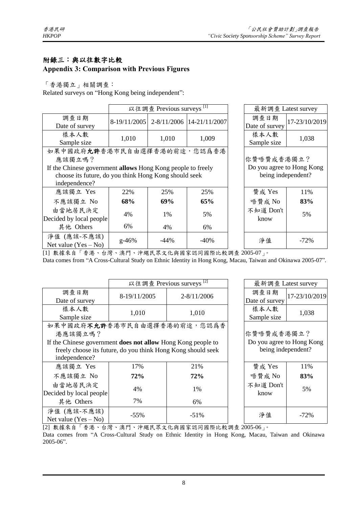#### 附錄三:與以往數字比較

#### **Appendix 3: Comparison with Previous Figures**

「香港獨立」相關調查:

Related surveys on "Hong Kong being independent":

|                                                             | 以往調查 Previous surveys <sup>[1]</sup> |                           |                                        |  | 最新調查 Latest survey |               |  |
|-------------------------------------------------------------|--------------------------------------|---------------------------|----------------------------------------|--|--------------------|---------------|--|
| 調查日期                                                        |                                      |                           | 8-19/11/2005 2-8/11/2006 14-21/11/2007 |  | 調查日期               | 17-23/10/2019 |  |
| Date of survey                                              |                                      |                           |                                        |  | Date of survey     |               |  |
| 樣本人數                                                        | 1,010                                | 1,010                     | 1,009                                  |  | 樣本人數               | 1,038         |  |
| Sample size                                                 |                                      |                           |                                        |  | Sample size        |               |  |
| 如果中國政府允許香港市民自由選擇香港的前途,您認為香港                                 |                                      |                           |                                        |  |                    |               |  |
| 應該獨立嗎?                                                      |                                      | 你贊唔贊成香港獨立?                |                                        |  |                    |               |  |
| If the Chinese government allows Hong Kong people to freely |                                      | Do you agree to Hong Kong |                                        |  |                    |               |  |
| choose its future, do you think Hong Kong should seek       |                                      |                           |                                        |  | being independent? |               |  |
| independence?                                               |                                      |                           |                                        |  |                    |               |  |
| 應該獨立 Yes                                                    | 22%                                  | 25%                       | 25%                                    |  | 贊成 Yes             | 11%           |  |
| 不應該獨立 No                                                    | 68%                                  | 69%                       | 65%                                    |  | 唔贊成 No             | 83%           |  |
| 由當地居民決定                                                     |                                      | 1%                        | 5%                                     |  | 不知道 Don't          |               |  |
| Decided by local people                                     | 4%                                   |                           |                                        |  | know               | 5%            |  |
| 其他 Others                                                   | 6%                                   | 4%                        | 6%                                     |  |                    |               |  |
| 淨值 (應該-不應該)                                                 | $g - 46%$                            | -44%                      | -40%                                   |  | 淨值                 | $-72%$        |  |
| Net value $(Yes - No)$                                      |                                      |                           |                                        |  |                    |               |  |

[1] 數據來自「香港、台灣、澳門、沖繩民眾文化與國家認同國際比較調查 2005-07」。

Data comes from "A Cross-Cultural Study on Ethnic Identity in Hong Kong, Macau, Taiwan and Okinawa 2005-07".

|                                                                     |              | 以往調查 Previous surveys <sup>[2]</sup> |  | 最新調查 Latest survey |            |  |  |  |
|---------------------------------------------------------------------|--------------|--------------------------------------|--|--------------------|------------|--|--|--|
| 調查日期                                                                | 8-19/11/2005 | $2 - 8/11/2006$                      |  | 調查日期               | 17-23/10/2 |  |  |  |
| Date of survey                                                      |              |                                      |  | Date of survey     |            |  |  |  |
| 樣本人數                                                                | 1,010        | 1,010                                |  | 樣本人數               | 1,038      |  |  |  |
| Sample size                                                         |              |                                      |  | Sample size        |            |  |  |  |
| 如果中國政府不允許香港市民自由選擇香港的前途,您認為香                                         |              |                                      |  |                    |            |  |  |  |
| 港應該獨立嗎?                                                             |              | 你贊唔贊成香港獨立?                           |  |                    |            |  |  |  |
| If the Chinese government <b>does not allow</b> Hong Kong people to |              | Do you agree to Hong Ko              |  |                    |            |  |  |  |
| freely choose its future, do you think Hong Kong should seek        |              | being independent?                   |  |                    |            |  |  |  |
| independence?                                                       |              |                                      |  |                    |            |  |  |  |
| 應該獨立 Yes                                                            | 17%          | 21%                                  |  | 贊成 Yes             | 11%        |  |  |  |
| 不應該獨立 No                                                            | 72%          | 72%                                  |  | 唔贊成 No             | 83%        |  |  |  |
| 由當地居民決定                                                             |              |                                      |  | 不知道 Don't          |            |  |  |  |
| Decided by local people                                             | 4%           | 1%                                   |  | know               | 5%         |  |  |  |
| 其他 Others                                                           | 7%           | 6%                                   |  |                    |            |  |  |  |
| 淨值 (應該-不應該)                                                         | $-55%$       | $-51%$                               |  | 淨值                 | $-72%$     |  |  |  |
| Net value $(Yes - No)$                                              |              |                                      |  |                    |            |  |  |  |

| 17-23/10/2019             |  |  |  |  |  |  |
|---------------------------|--|--|--|--|--|--|
|                           |  |  |  |  |  |  |
|                           |  |  |  |  |  |  |
| 1,038                     |  |  |  |  |  |  |
|                           |  |  |  |  |  |  |
|                           |  |  |  |  |  |  |
| 你贊唔贊成香港獨立?                |  |  |  |  |  |  |
| Do you agree to Hong Kong |  |  |  |  |  |  |
| being independent?        |  |  |  |  |  |  |
|                           |  |  |  |  |  |  |
| 11%                       |  |  |  |  |  |  |
| 83%                       |  |  |  |  |  |  |
|                           |  |  |  |  |  |  |
| 5%                        |  |  |  |  |  |  |
|                           |  |  |  |  |  |  |
| -72%                      |  |  |  |  |  |  |
|                           |  |  |  |  |  |  |

[2] 數據來自「香港、台灣、澳門、沖繩民眾文化與國家認同國際比較調查 2005-06」。

Data comes from "A Cross-Cultural Study on Ethnic Identity in Hong Kong, Macau, Taiwan and Okinawa 2005-06".